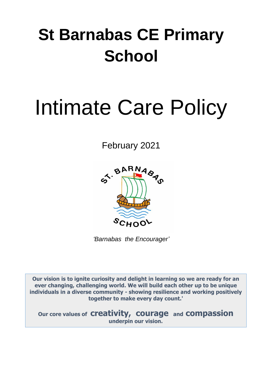# **St Barnabas CE Primary School**

# Intimate Care Policy

February 2021



*'Barnabas the Encourager'*

**Our vision is to ignite curiosity and delight in learning so we are ready for an ever changing, challenging world. We will build each other up to be unique individuals in a diverse community - showing resilience and working positively together to make every day count.'**

**Our core values of creativity, courage and compassion underpin our vision.**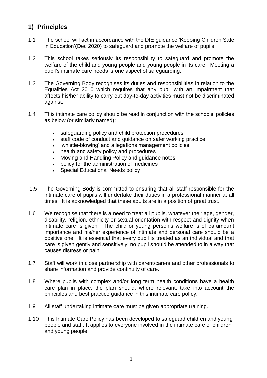## **1) Principles**

- 1.1 The school will act in accordance with the DfE guidance 'Keeping Children Safe in Education'(Dec 2020) to safeguard and promote the welfare of pupils.
- 1.2 This school takes seriously its responsibility to safeguard and promote the welfare of the child and young people and young people in its care. Meeting a pupil's intimate care needs is one aspect of safeguarding.
- 1.3 The Governing Body recognises its duties and responsibilities in relation to the Equalities Act 2010 which requires that any pupil with an impairment that affects his/her ability to carry out day-to-day activities must not be discriminated against.
- 1.4 This intimate care policy should be read in conjunction with the schools' policies as below (or similarly named):
	- safeguarding policy and child protection procedures
	- staff code of conduct and guidance on safer working practice
	- 'whistle-blowing' and allegations management policies
	- health and safety policy and procedures
	- Moving and Handling Policy and guidance notes
	- policy for the administration of medicines
	- Special Educational Needs policy
- 1.5 The Governing Body is committed to ensuring that all staff responsible for the intimate care of pupils will undertake their duties in a professional manner at all times. It is acknowledged that these adults are in a position of great trust.
- 1.6 We recognise that there is a need to treat all pupils, whatever their age, gender, disability, religion, ethnicity or sexual orientation with respect and dignity when intimate care is given. The child or young person's welfare is of paramount importance and his/her experience of intimate and personal care should be a positive one. It is essential that every pupil is treated as an individual and that care is given gently and sensitively: no pupil should be attended to in a way that causes distress or pain.
- 1.7 Staff will work in close partnership with parent/carers and other professionals to share information and provide continuity of care.
- 1.8 Where pupils with complex and/or long term health conditions have a health care plan in place, the plan should, where relevant, take into account the principles and best practice guidance in this intimate care policy.
- 1.9 All staff undertaking intimate care must be given appropriate training.
- 1.10 This Intimate Care Policy has been developed to safeguard children and young people and staff. It applies to everyone involved in the intimate care of children and young people.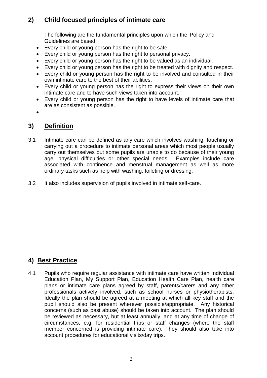### **2) Child focused principles of intimate care**

The following are the fundamental principles upon which the Policy and Guidelines are based:

- Every child or young person has the right to be safe.
- Every child or young person has the right to personal privacy.
- Every child or young person has the right to be valued as an individual.
- Every child or young person has the right to be treated with dignity and respect.
- Every child or young person has the right to be involved and consulted in their own intimate care to the best of their abilities.
- Every child or young person has the right to express their views on their own intimate care and to have such views taken into account.
- Every child or young person has the right to have levels of intimate care that are as consistent as possible.
- $\bullet$

#### **3) Definition**

- 3.1 Intimate care can be defined as any care which involves washing, touching or carrying out a procedure to intimate personal areas which most people usually carry out themselves but some pupils are unable to do because of their young age, physical difficulties or other special needs. Examples include care associated with continence and menstrual management as well as more ordinary tasks such as help with washing, toileting or dressing.
- 3.2 It also includes supervision of pupils involved in intimate self-care.

### **4) Best Practice**

4.1 Pupils who require regular assistance with intimate care have written Individual Education Plan, My Support Plan, Education Health Care Plan, health care plans or intimate care plans agreed by staff, parents/carers and any other professionals actively involved, such as school nurses or physiotherapists. Ideally the plan should be agreed at a meeting at which all key staff and the pupil should also be present wherever possible/appropriate. Any historical concerns (such as past abuse) should be taken into account. The plan should be reviewed as necessary, but at least annually, and at any time of change of circumstances, e.g. for residential trips or staff changes (where the staff member concerned is providing intimate care). They should also take into account procedures for educational visits/day trips.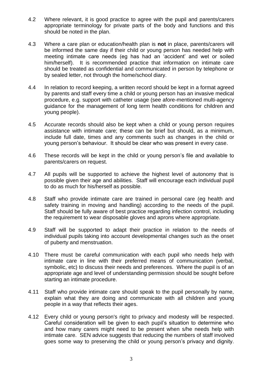- 4.2 Where relevant, it is good practice to agree with the pupil and parents/carers appropriate terminology for private parts of the body and functions and this should be noted in the plan.
- 4.3 Where a care plan or education/health plan is **not** in place, parents/carers will be informed the same day if their child or young person has needed help with meeting intimate care needs (eg has had an 'accident' and wet or soiled him/herself). It is recommended practice that information on intimate care should be treated as confidential and communicated in person by telephone or by sealed letter, not through the home/school diary.
- 4.4 In relation to record keeping, a written record should be kept in a format agreed by parents and staff every time a child or young person has an invasive medical procedure, e.g. support with catheter usage (see afore-mentioned multi-agency guidance for the management of long term health conditions for children and young people).
- 4.5 Accurate records should also be kept when a child or young person requires assistance with intimate care; these can be brief but should, as a minimum, include full date, times and any comments such as changes in the child or young person's behaviour. It should be clear who was present in every case.
- 4.6 These records will be kept in the child or young person's file and available to parents/carers on request.
- 4.7 All pupils will be supported to achieve the highest level of autonomy that is possible given their age and abilities. Staff will encourage each individual pupil to do as much for his/herself as possible.
- 4.8 Staff who provide intimate care are trained in personal care (eg health and safety training in moving and handling) according to the needs of the pupil. Staff should be fully aware of best practice regarding infection control, including the requirement to wear disposable gloves and aprons where appropriate.
- 4.9 Staff will be supported to adapt their practice in relation to the needs of individual pupils taking into account developmental changes such as the onset of puberty and menstruation.
- 4.10 There must be careful communication with each pupil who needs help with intimate care in line with their preferred means of communication (verbal, symbolic, etc) to discuss their needs and preferences. Where the pupil is of an appropriate age and level of understanding permission should be sought before starting an intimate procedure.
- 4.11 Staff who provide intimate care should speak to the pupil personally by name, explain what they are doing and communicate with all children and young people in a way that reflects their ages.
- 4.12 Every child or young person's right to privacy and modesty will be respected. Careful consideration will be given to each pupil's situation to determine who and how many carers might need to be present when s/he needs help with intimate care. SEN advice suggests that reducing the numbers of staff involved goes some way to preserving the child or young person's privacy and dignity.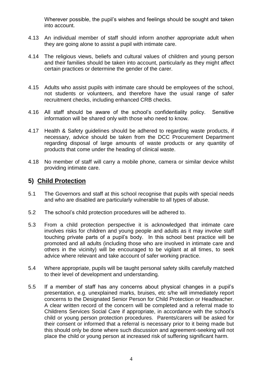Wherever possible, the pupil's wishes and feelings should be sought and taken into account.

- 4.13 An individual member of staff should inform another appropriate adult when they are going alone to assist a pupil with intimate care.
- 4.14 The religious views, beliefs and cultural values of children and young person and their families should be taken into account, particularly as they might affect certain practices or determine the gender of the carer.
- 4.15 Adults who assist pupils with intimate care should be employees of the school, not students or volunteers, and therefore have the usual range of safer recruitment checks, including enhanced CRB checks.
- 4.16 All staff should be aware of the school's confidentiality policy. Sensitive information will be shared only with those who need to know.
- 4.17 Health & Safety guidelines should be adhered to regarding waste products, if necessary, advice should be taken from the DCC Procurement Department regarding disposal of large amounts of waste products or any quantity of products that come under the heading of clinical waste.
- 4.18 No member of staff will carry a mobile phone, camera or similar device whilst providing intimate care.

#### **5) Child Protection**

- 5.1 The Governors and staff at this school recognise that pupils with special needs and who are disabled are particularly vulnerable to all types of abuse.
- 5.2 The school's child protection procedures will be adhered to.
- 5.3 From a child protection perspective it is acknowledged that intimate care involves risks for children and young people and adults as it may involve staff touching private parts of a pupil's body. In this school best practice will be promoted and all adults (including those who are involved in intimate care and others in the vicinity) will be encouraged to be vigilant at all times, to seek advice where relevant and take account of safer working practice.
- 5.4 Where appropriate, pupils will be taught personal safety skills carefully matched to their level of development and understanding.
- 5.5 If a member of staff has any concerns about physical changes in a pupil's presentation, e.g. unexplained marks, bruises, etc s/he will immediately report concerns to the Designated Senior Person for Child Protection or Headteacher. A clear written record of the concern will be completed and a referral made to Childrens Services Social Care if appropriate, in accordance with the school's child or young person protection procedures. Parents/carers will be asked for their consent or informed that a referral is necessary prior to it being made but this should only be done where such discussion and agreement-seeking will not place the child or young person at increased risk of suffering significant harm.